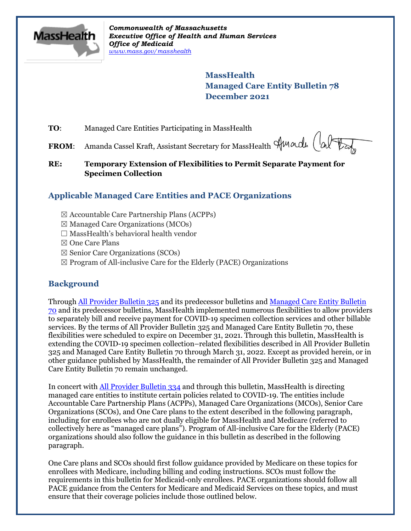

*Commonwealth of Massachusetts Executive Office of Health and Human Services Office of Medicaid [www.mass.gov/masshealth](http://www.mass.gov/masshealth)*

> **MassHealth Managed Care Entity Bulletin 78 December 2021**

**TO**: Managed Care Entities Participating in MassHealth

FROM: Amanda Cassel Kraft, Assistant Secretary for MassHealth Amande (alter

### **RE: Temporary Extension of Flexibilities to Permit Separate Payment for Specimen Collection**

# **Applicable Managed Care Entities and PACE Organizations**

- ☒ Accountable Care Partnership Plans (ACPPs)
- $\boxtimes$  Managed Care Organizations (MCOs)
- $\Box$  MassHealth's behavioral health vendor
- ☒ One Care Plans
- ☒ Senior Care Organizations (SCOs)
- $\boxtimes$  Program of All-inclusive Care for the Elderly (PACE) Organizations

## **Background**

Throug[h All Provider Bulletin 325](https://www.mass.gov/lists/all-provider-bulletins) and its predecessor bulletins an[d Managed Care Entity Bulletin](https://www.mass.gov/lists/masshealth-provider-bulletins-by-provider-type-i-n#managed-care-entity-)  [70](https://www.mass.gov/lists/masshealth-provider-bulletins-by-provider-type-i-n#managed-care-entity-) and its predecessor bulletins, MassHealth implemented numerous flexibilities to allow providers to separately bill and receive payment for COVID-19 specimen collection services and other billable services. By the terms of All Provider Bulletin 325 and Managed Care Entity Bulletin 70, these flexibilities were scheduled to expire on December 31, 2021. Through this bulletin, MassHealth is extending the COVID-19 specimen collection–related flexibilities described in All Provider Bulletin 325 and Managed Care Entity Bulletin 70 through March 31, 2022. Except as provided herein, or in other guidance published by MassHealth, the remainder of All Provider Bulletin 325 and Managed Care Entity Bulletin 70 remain unchanged.

In concert with [All Provider Bulletin 334](https://www.mass.gov/lists/all-provider-bulletins) and through this bulletin, MassHealth is directing managed care entities to institute certain policies related to COVID-19. The entities include Accountable Care Partnership Plans (ACPPs), Managed Care Organizations (MCOs), Senior Care Organizations (SCOs), and One Care plans to the extent described in the following paragraph, including for enrollees who are not dually eligible for MassHealth and Medicare (referred to collectively here as "managed care plans"). Program of All-inclusive Care for the Elderly (PACE) organizations should also follow the guidance in this bulletin as described in the following paragraph.

One Care plans and SCOs should first follow guidance provided by Medicare on these topics for enrollees with Medicare, including billing and coding instructions. SCOs must follow the requirements in this bulletin for Medicaid-only enrollees. PACE organizations should follow all PACE guidance from the Centers for Medicare and Medicaid Services on these topics, and must ensure that their coverage policies include those outlined below.